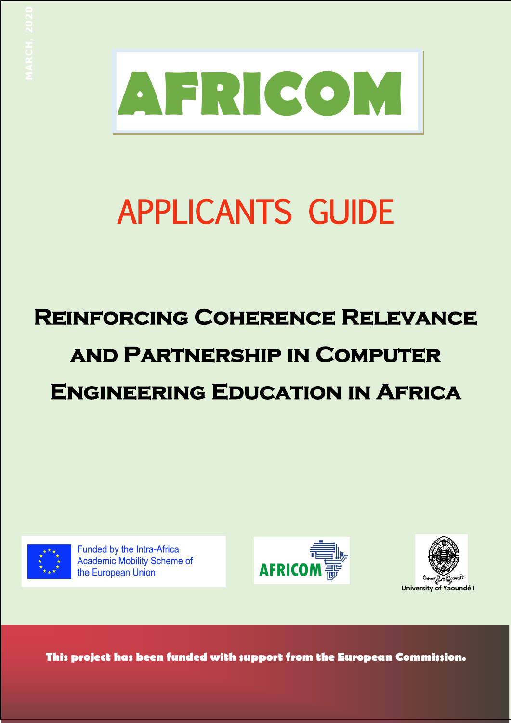

# APPLICANTS GUIDE

# **Reinforcing Coherence Relevance and Partnership in Computer Engineering Education in Africa MARCH, 2020**



Funded by the Intra-Africa **Academic Mobility Scheme of** the European Union





**This project has been funded with support from the European Commission.**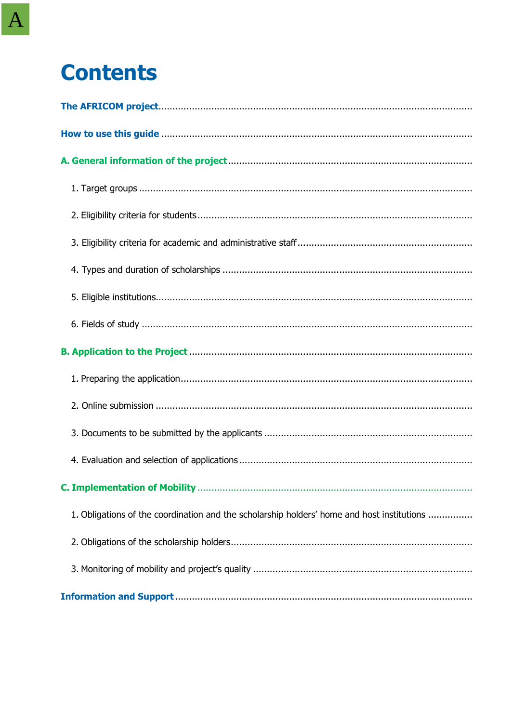# **Contents**

| 1. Obligations of the coordination and the scholarship holders' home and host institutions |
|--------------------------------------------------------------------------------------------|
|                                                                                            |
|                                                                                            |
|                                                                                            |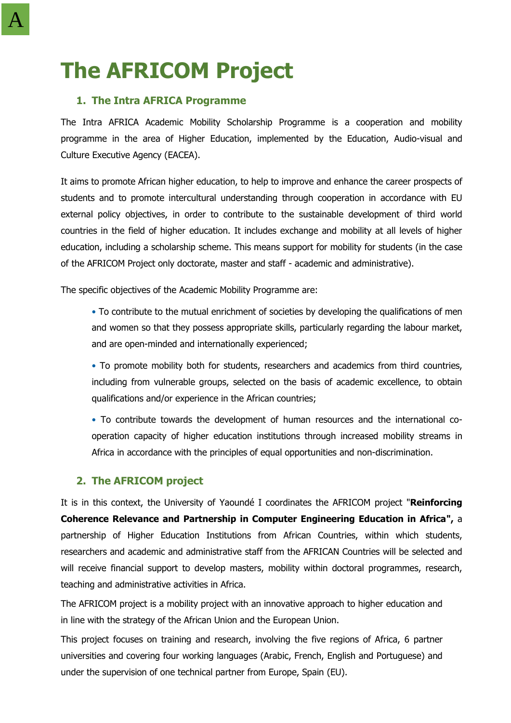# **The AFRICOM Project**

# **1. The Intra AFRICA Programme**

The Intra AFRICA Academic Mobility Scholarship Programme is a cooperation and mobility programme in the area of Higher Education, implemented by the Education, Audio-visual and Culture Executive Agency (EACEA).

It aims to promote African higher education, to help to improve and enhance the career prospects of students and to promote intercultural understanding through cooperation in accordance with EU external policy objectives, in order to contribute to the sustainable development of third world countries in the field of higher education. It includes exchange and mobility at all levels of higher education, including a scholarship scheme. This means support for mobility for students (in the case of the AFRICOM Project only doctorate, master and staff - academic and administrative).

The specific objectives of the Academic Mobility Programme are:

• To contribute to the mutual enrichment of societies by developing the qualifications of men and women so that they possess appropriate skills, particularly regarding the labour market, and are open-minded and internationally experienced;

• To promote mobility both for students, researchers and academics from third countries, including from vulnerable groups, selected on the basis of academic excellence, to obtain qualifications and/or experience in the African countries;

• To contribute towards the development of human resources and the international cooperation capacity of higher education institutions through increased mobility streams in Africa in accordance with the principles of equal opportunities and non-discrimination.

# **2. The AFRICOM project**

It is in this context, the University of Yaoundé I coordinates the AFRICOM project "**Reinforcing Coherence Relevance and Partnership in Computer Engineering Education in Africa",** a partnership of Higher Education Institutions from African Countries, within which students, researchers and academic and administrative staff from the AFRICAN Countries will be selected and will receive financial support to develop masters, mobility within doctoral programmes, research, teaching and administrative activities in Africa.

The AFRICOM project is a mobility project with an innovative approach to higher education and in line with the strategy of the African Union and the European Union.

This project focuses on training and research, involving the five regions of Africa, 6 partner universities and covering four working languages (Arabic, French, English and Portuguese) and under the supervision of one technical partner from Europe, Spain (EU).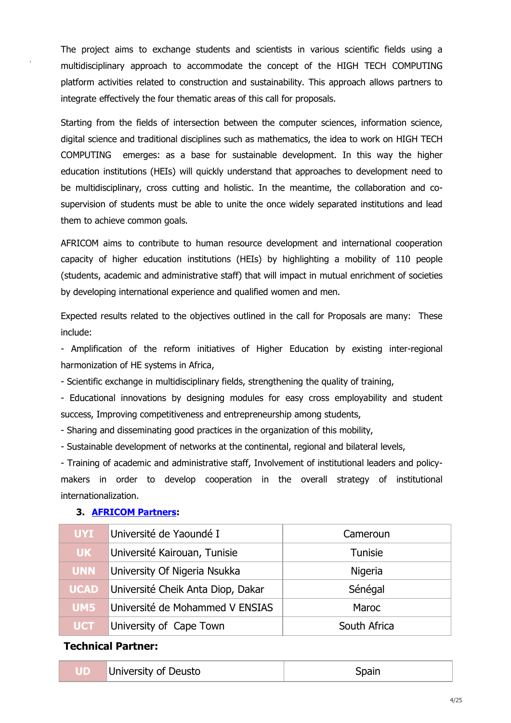The project aims to exchange students and scientists in various scientific fields using a multidisciplinary approach to accommodate the concept of the HIGH TECH COMPUTING platform activities related to construction and sustainability. This approach allows partners to integrate effectively the four thematic areas of this call for proposals.

Starting from the fields of intersection between the computer sciences, information science, digital science and traditional disciplines such as mathematics, the idea to work on HIGH TECH COMPUTING emerges: as a base for sustainable development. In this way the higher education institutions (HEIs) will quickly understand that approaches to development need to be multidisciplinary, cross cutting and holistic. In the meantime, the collaboration and cosupervision of students must be able to unite the once widely separated institutions and lead them to achieve common goals.

AFRICOM aims to contribute to human resource development and international cooperation capacity of higher education institutions (HEIs) by highlighting a mobility of 110 people (students, academic and administrative staff) that will impact in mutual enrichment of societies by developing international experience and qualified women and men.

Expected results related to the objectives outlined in the call for Proposals are many: These include:

- Amplification of the reform initiatives of Higher Education by existing inter-regional harmonization of HE systems in Africa,

- Scientific exchange in multidisciplinary fields, strengthening the quality of training,

- Educational innovations by designing modules for easy cross employability and student success, Improving competitiveness and entrepreneurship among students,

- Sharing and disseminating good practices in the organization of this mobility,

- Sustainable development of networks at the continental, regional and bilateral levels,

- Training of academic and administrative staff, Involvement of institutional leaders and policymakers in order to develop cooperation in the overall strategy of institutional internationalization.

| <b>UYI</b>  | Université de Yaoundé I           | Cameroun       |
|-------------|-----------------------------------|----------------|
| <b>UK</b>   | Université Kairouan, Tunisie      | <b>Tunisie</b> |
| <b>UNN</b>  | University Of Nigeria Nsukka      | Nigeria        |
| <b>UCAD</b> | Université Cheik Anta Diop, Dakar | Sénégal        |
| UM5         | Université de Mohammed V ENSIAS   | Maroc          |
| <b>UCT</b>  | University of Cape Town           | South Africa   |

### **3. [AFRICOM](https://afri-com.org/partenaires/) Partners:**

-

### **Technical Partner:**

|  | University of Deusto | Spain |
|--|----------------------|-------|
|--|----------------------|-------|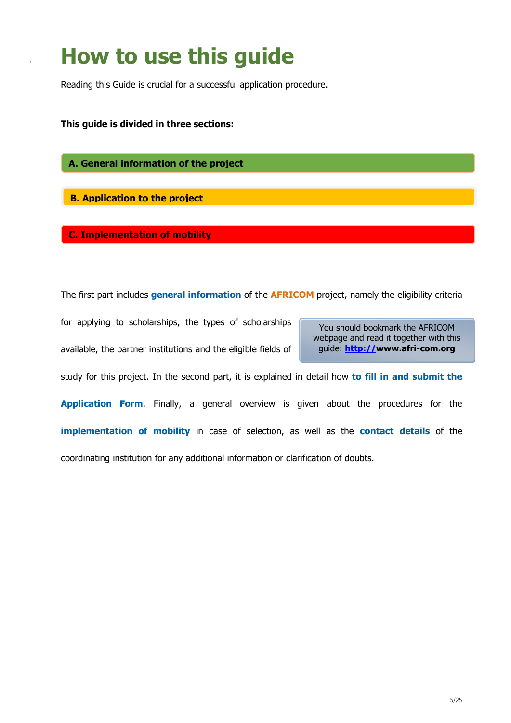# **How to use this guide**

Reading this Guide is crucial for a successful application procedure.

**This guide is divided in three sections:**

-

**A. General information of the project**

**B. Application to the project**

**C. Implementation of mobility**

The first part includes **general information** of the **AFRICOM** project, namely the eligibility criteria

for applying to scholarships, the types of scholarships

available, the partner institutions and the eligible fields of

You should bookmark the AFRICOM webpage and read it together with this guide: **[http://w](http://)ww.afri-com.org**

study for this project. In the second part, it is explained in detail how **to fill in and submit the Application Form.** Finally, a general overview is given about the procedures for the **implementation of mobility** in case of selection, as well as the **contact details** of the coordinating institution for any additional information or clarification of doubts.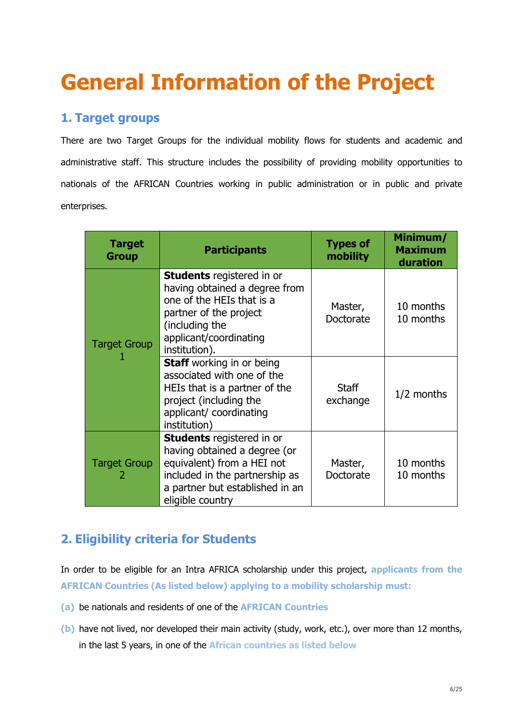# <span id="page-5-0"></span>**General Information of the Project**

# **1. Target groups**

There are two Target Groups for the individual mobility flows for students and academic and administrative staff. This structure includes the possibility of providing mobility opportunities to nationals of the AFRICAN Countries working in public administration or in public and private enterprises.

| <b>Target</b><br><b>Group</b> | <b>Participants</b>                                                                                                                                                                     | <b>Types of</b><br>mobility | Minimum/<br><b>Maximum</b><br>duration |
|-------------------------------|-----------------------------------------------------------------------------------------------------------------------------------------------------------------------------------------|-----------------------------|----------------------------------------|
| <b>Target Group</b>           | <b>Students</b> registered in or<br>having obtained a degree from<br>one of the HEIs that is a<br>partner of the project<br>(including the<br>applicant/coordinating<br>institution).   | Master,<br>Doctorate        | 10 months<br>10 months                 |
|                               | <b>Staff</b> working in or being<br>associated with one of the<br>HEIs that is a partner of the<br>project (including the<br>applicant/ coordinating<br>institution)                    | <b>Staff</b><br>exchange    | $1/2$ months                           |
| <b>Target Group</b>           | <b>Students</b> registered in or<br>having obtained a degree (or<br>equivalent) from a HEI not<br>included in the partnership as<br>a partner but established in an<br>eligible country | Master,<br>Doctorate        | 10 months<br>10 months                 |

# **2. Eligibility criteria for Students**

In order to be eligible for an Intra AFRICA scholarship under this project, **applicants from the AFRICAN Countries (As listed below) applying to a mobility scholarship must:**

- **(a)** be nationals and residents of one of the **AFRICAN Countries**
- **(b)** have not lived, nor developed their main activity (study, work, etc.), over more than 12 months, in the last 5 years, in one of the **African countries as listed below**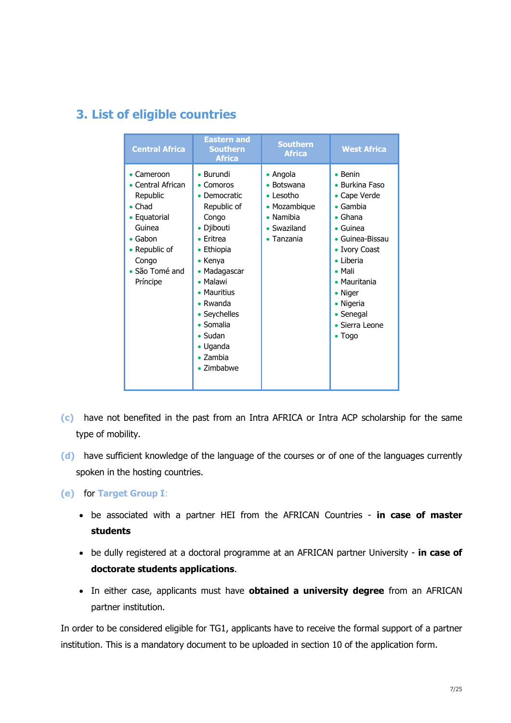# **3. List of eligible countries**

| <b>Central Africa</b>                                                                                                                                                    | <b>Eastern and</b><br><b>Southern</b><br><b>Africa</b>                                                                                                                                                                                                                                                            | <b>Southern</b><br><b>Africa</b>                                                                                                          | <b>West Africa</b>                                                                                                                                                                                                                                                       |
|--------------------------------------------------------------------------------------------------------------------------------------------------------------------------|-------------------------------------------------------------------------------------------------------------------------------------------------------------------------------------------------------------------------------------------------------------------------------------------------------------------|-------------------------------------------------------------------------------------------------------------------------------------------|--------------------------------------------------------------------------------------------------------------------------------------------------------------------------------------------------------------------------------------------------------------------------|
| $\bullet$ Cameroon<br>Central African<br>Republic<br>$\bullet$ Chad<br>• Equatorial<br>Guinea<br>$\bullet$ Gabon<br>• Republic of<br>Congo<br>• São Tomé and<br>Príncipe | • Burundi<br>Comoros<br>Democratic<br>Republic of<br>Congo<br>• Djibouti<br>$\bullet$ Fritrea<br>Ethiopia<br>$\bullet$ Kenya<br>• Madagascar<br>$\bullet$ Malawi<br>• Mauritius<br>$\bullet$ Rwanda<br>• Seychelles<br>$\bullet$ Somalia<br>$\bullet$ Sudan<br>• Uganda<br>$\bullet$ Zambia<br>$\bullet$ Zimbabwe | • Angola<br>Botswana<br>٠<br>$\bullet$ Lesotho<br>Mozambique<br>$\bullet$<br>Namibia<br>$\bullet$<br>• Swaziland<br>Tanzania<br>$\bullet$ | $\bullet$ Benin<br>• Burkina Faso<br>• Cape Verde<br>$\bullet$ Gambia<br>$\bullet$ Ghana<br>$\bullet$ Guinea<br>• Guinea-Bissau<br>• Ivory Coast<br>$\bullet$ Liberia<br>$\bullet$ Mali<br>• Mauritania<br>• Niger<br>• Nigeria<br>• Senegal<br>• Sierra Leone<br>• Togo |

- **(c)** have not benefited in the past from an Intra AFRICA or Intra ACP scholarship for the same type of mobility.
- **(d)** have sufficient knowledge of the language of the courses or of one of the languages currently spoken in the hosting countries.

**(e)** for **Target Group I**:

- be associated with a partner HEI from the AFRICAN Countries **in case of master students**
- be dully registered at a doctoral programme at an AFRICAN partner University **in case of doctorate students applications**.
- In either case, applicants must have **obtained a university degree** from an AFRICAN partner institution.

In order to be considered eligible for TG1, applicants have to receive the formal support of a partner institution. This is a mandatory document to be uploaded in section 10 of the application form.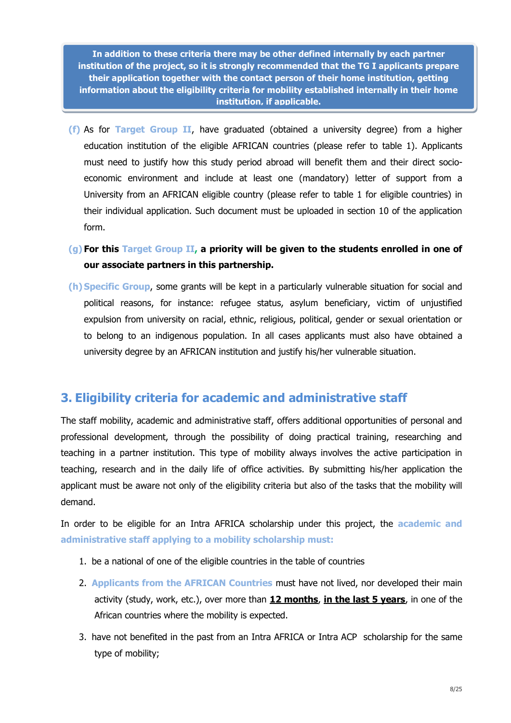**In addition to these criteria there may be other defined internally by each partner institution of the project, so it is strongly recommended that the TG I applicants prepare their application together with the contact person of their home institution, getting information about the eligibility criteria for mobility established internally in their home institution, if applicable.**

- **(f)** As for **Target Group II**, have graduated (obtained a university degree) from a higher education institution of the eligible AFRICAN countries (please refer to table 1). Applicants must need to justify how this study period abroad will benefit them and their direct socioeconomic environment and include at least one (mandatory) letter of support from a University from an AFRICAN eligible country (please refer to table 1 for eligible countries) in their individual application. Such document must be uploaded in section 10 of the application form.
- **(g) For this Target Group II, a priority will be given to the students enrolled in one of our associate partners in this partnership.**
- **(h) Specific Group**, some grants will be kept in a particularly vulnerable situation for social and political reasons, for instance: refugee status, asylum beneficiary, victim of unjustified expulsion from university on racial, ethnic, religious, political, gender or sexual orientation or to belong to an indigenous population. In all cases applicants must also have obtained a university degree by an AFRICAN institution and justify his/her vulnerable situation.

# **3. Eligibility criteria for academic and administrative staff**

The staff mobility, academic and administrative staff, offers additional opportunities of personal and professional development, through the possibility of doing practical training, researching and teaching in a partner institution. This type of mobility always involves the active participation in teaching, research and in the daily life of office activities. By submitting his/her application the applicant must be aware not only of the eligibility criteria but also of the tasks that the mobility will demand.

In order to be eligible for an Intra AFRICA scholarship under this project, the **academic and administrative staff applying to a mobility scholarship must:** 

- 1. be a national of one of the eligible countries in the table of countries
- 2. **Applicants from the AFRICAN Countries** must have not lived, nor developed their main activity (study, work, etc.), over more than **12 months**, **in the last 5 years**, in one of the African countries where the mobility is expected.
- 3. have not benefited in the past from an Intra AFRICA or Intra ACP scholarship for the same type of mobility;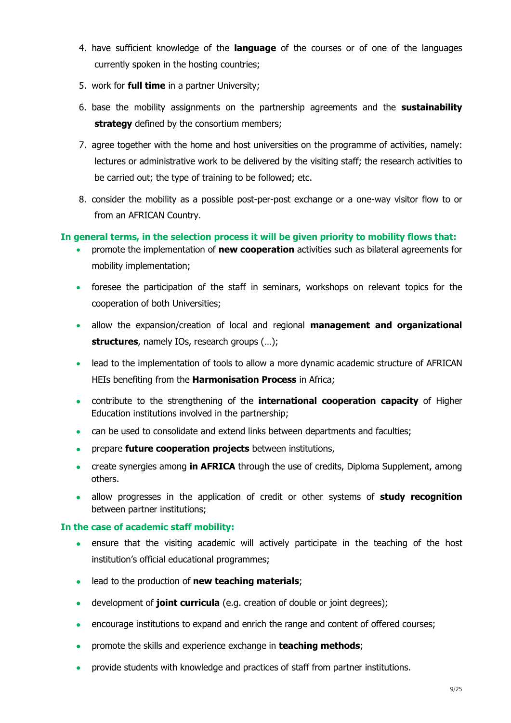- 4. have sufficient knowledge of the **language** of the courses or of one of the languages currently spoken in the hosting countries;
- 5. work for **full time** in a partner University;
- 6. base the mobility assignments on the partnership agreements and the **sustainability strategy** defined by the consortium members;
- 7. agree together with the home and host universities on the programme of activities, namely: lectures or administrative work to be delivered by the visiting staff; the research activities to be carried out; the type of training to be followed; etc.
- 8. consider the mobility as a possible post-per-post exchange or a one-way visitor flow to or from an AFRICAN Country.

# **In general terms, in the selection process it will be given priority to mobility flows that:**

- promote the implementation of **new cooperation** activities such as bilateral agreements for mobility implementation;
- foresee the participation of the staff in seminars, workshops on relevant topics for the cooperation of both Universities;
- allow the expansion/creation of local and regional **management and organizational structures**, namely IOs, research groups (…);
- lead to the implementation of tools to allow a more dynamic academic structure of AFRICAN HEIs benefiting from the **Harmonisation Process** in Africa;
- contribute to the strengthening of the **international cooperation capacity** of Higher Education institutions involved in the partnership;
- can be used to consolidate and extend links between departments and faculties;
- prepare **future cooperation projects** between institutions,
- create synergies among **in AFRICA** through the use of credits, Diploma Supplement, among others.
- allow progresses in the application of credit or other systems of **study recognition** between partner institutions;

### **In the case of academic staff mobility:**

- ensure that the visiting academic will actively participate in the teaching of the host institution's official educational programmes;
- lead to the production of **new teaching materials**;
- development of **joint curricula** (e.g. creation of double or joint degrees);
- encourage institutions to expand and enrich the range and content of offered courses;
- promote the skills and experience exchange in **teaching methods**;
- provide students with knowledge and practices of staff from partner institutions.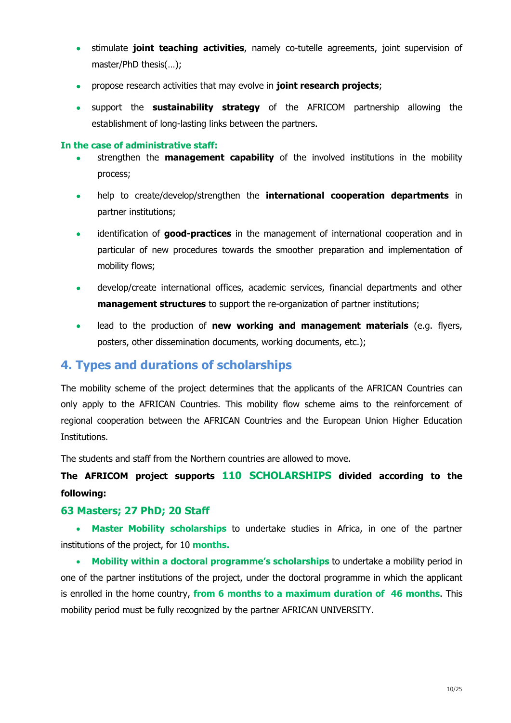- stimulate **joint teaching activities**, namely co-tutelle agreements, joint supervision of master/PhD thesis(…);
- propose research activities that may evolve in **joint research projects**;
- support the **sustainability strategy** of the AFRICOM partnership allowing the establishment of long-lasting links between the partners.

## **In the case of administrative staff:**

- strengthen the **management capability** of the involved institutions in the mobility process;
- help to create/develop/strengthen the **international cooperation departments** in partner institutions;
- identification of **good-practices** in the management of international cooperation and in particular of new procedures towards the smoother preparation and implementation of mobility flows;
- develop/create international offices, academic services, financial departments and other **management structures** to support the re-organization of partner institutions;
- lead to the production of **new working and management materials** (e.g. flyers, posters, other dissemination documents, working documents, etc.);

# <span id="page-9-0"></span>**4. Types and durations of scholarships**

The mobility scheme of the project determines that the applicants of the AFRICAN Countries can only apply to the AFRICAN Countries. This mobility flow scheme aims to the reinforcement of regional cooperation between the AFRICAN Countries and the European Union Higher Education Institutions.

The students and staff from the Northern countries are allowed to move.

**The AFRICOM project supports 110 SCHOLARSHIPS divided according to the following:**

# **63 Masters; 27 PhD; 20 Staff**

 **Master Mobility scholarships** to undertake studies in Africa, in one of the partner institutions of the project, for 10 **months.**

 **Mobility within a doctoral programme's scholarships** to undertake a mobility period in one of the partner institutions of the project, under the doctoral programme in which the applicant is enrolled in the home country, **from 6 months to a maximum duration of 46 months**. This mobility period must be fully recognized by the partner AFRICAN UNIVERSITY.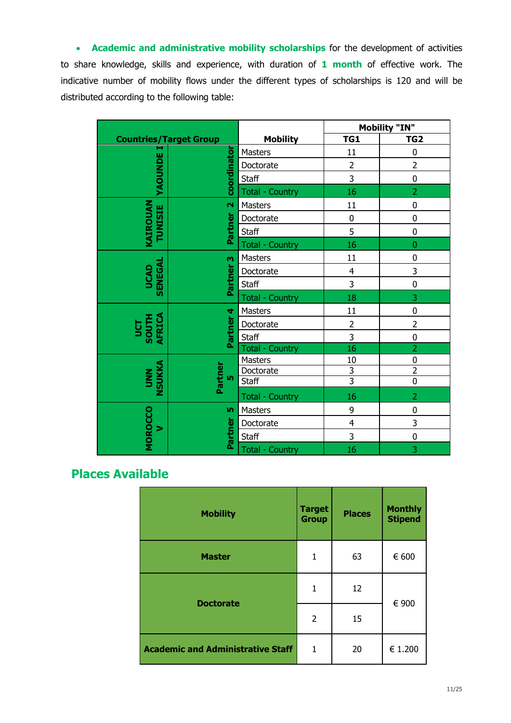**Academic and administrative mobility scholarships** for the development of activities to share knowledge, skills and experience, with duration of **1 month** of effective work. The indicative number of mobility flows under the different types of scholarships is 120 and will be distributed according to the following table:

|                            |                               |                        |                         | <b>Mobility "IN"</b> |  |
|----------------------------|-------------------------------|------------------------|-------------------------|----------------------|--|
|                            | <b>Countries/Target Group</b> | <b>Mobility</b>        | TG1                     | TG <sub>2</sub>      |  |
| н                          | coordinator                   | Masters                | 11                      | $\mathbf 0$          |  |
|                            |                               | Doctorate              | $\overline{2}$          | $\overline{2}$       |  |
| YAOUNDE                    |                               | Staff                  | 3                       | $\mathbf 0$          |  |
|                            |                               | <b>Total - Country</b> | 16                      | $\overline{2}$       |  |
|                            | $\overline{\mathbf{N}}$       | Masters                | 11                      | $\mathbf 0$          |  |
|                            |                               | Doctorate              | $\pmb{0}$               | $\mathbf 0$          |  |
| KAIROUAN<br><b>TUNISIE</b> | Partner                       | <b>Staff</b>           | 5                       | $\mathbf 0$          |  |
|                            |                               | <b>Total - Country</b> | 16                      | $\overline{0}$       |  |
|                            | m                             | Masters                | 11                      | 0                    |  |
| SENEGAL                    | Partner                       | Doctorate              | $\overline{\mathbf{4}}$ | 3                    |  |
| UCAD                       |                               | Staff                  | 3                       | $\mathbf 0$          |  |
|                            |                               | <b>Total - Country</b> | 18                      | 3                    |  |
|                            | Partner <sub>4</sub>          | Masters                | 11                      | $\mathbf 0$          |  |
| AFRICA<br>UCT<br>SOUTH     |                               | Doctorate              | $\overline{2}$          | $\overline{2}$       |  |
|                            |                               | Staff                  | 3                       | $\mathbf 0$          |  |
|                            |                               | <b>Total - Country</b> | 16                      | $\overline{2}$       |  |
|                            | Partner<br>۱ŋ                 | Masters                | 10                      | $\mathbf 0$          |  |
| NSUKKA<br><b>NND</b>       |                               | Doctorate              | $\overline{3}$          | $\overline{2}$       |  |
|                            |                               | <b>Staff</b>           | $\overline{3}$          | $\overline{0}$       |  |
|                            |                               | <b>Total - Country</b> | 16                      | $\overline{2}$       |  |
|                            | <b>In</b>                     | Masters                | 9                       | 0                    |  |
| >                          |                               | Doctorate              | $\overline{4}$          | 3                    |  |
| MOROCCO                    | Partner                       | Staff                  | 3                       | $\mathbf 0$          |  |
|                            |                               | <b>Total - Country</b> | 16                      | 3                    |  |

# <span id="page-10-0"></span> **Places Available**

| <b>Mobility</b>                          | <b>Target</b><br><b>Group</b> | <b>Places</b> | <b>Monthly</b><br><b>Stipend</b> |
|------------------------------------------|-------------------------------|---------------|----------------------------------|
| <b>Master</b>                            | 1                             | 63            | € 600                            |
| <b>Doctorate</b>                         | 1                             | 12            | € 900                            |
|                                          | $\overline{2}$                | 15            |                                  |
| <b>Academic and Administrative Staff</b> | $\mathbf{1}$                  | 20            | € 1.200                          |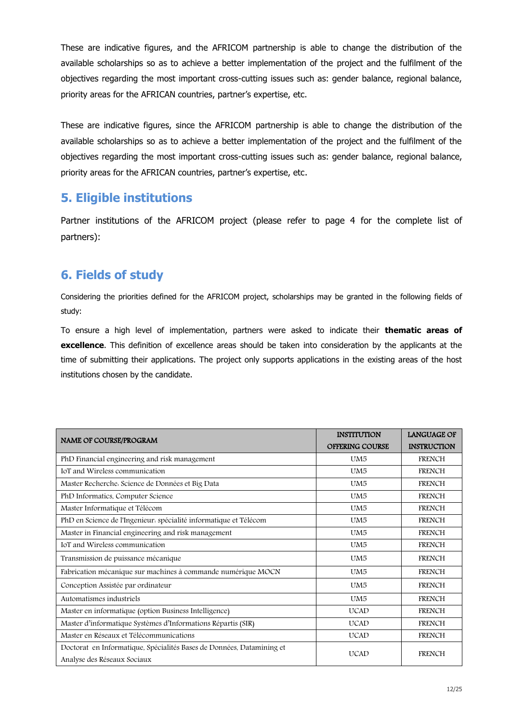These are indicative figures, and the AFRICOM partnership is able to change the distribution of the available scholarships so as to achieve a better implementation of the project and the fulfilment of the objectives regarding the most important cross-cutting issues such as: gender balance, regional balance, priority areas for the AFRICAN countries, partner's expertise, etc.

These are indicative figures, since the AFRICOM partnership is able to change the distribution of the available scholarships so as to achieve a better implementation of the project and the fulfilment of the objectives regarding the most important cross-cutting issues such as: gender balance, regional balance, priority areas for the AFRICAN countries, partner's expertise, etc.

# **5. Eligible institutions**

Partner institutions of the AFRICOM project (please refer to page 4 for the complete list of partners):

# <span id="page-11-0"></span>**6. Fields of study**

Considering the priorities defined for the AFRICOM project, scholarships may be granted in the following fields of study:

To ensure a high level of implementation, partners were asked to indicate their **thematic areas of excellence**. This definition of excellence areas should be taken into consideration by the applicants at the time of submitting their applications. The project only supports applications in the existing areas of the host institutions chosen by the candidate.

|                                                                                                      | <b>INSTITUTION</b>     | <b>LANGUAGE OF</b> |
|------------------------------------------------------------------------------------------------------|------------------------|--------------------|
| <b>NAME OF COURSE/PROGRAM</b>                                                                        | <b>OFFERING COURSE</b> | <b>INSTRUCTION</b> |
| PhD Financial engineering and risk management                                                        | UM <sub>5</sub>        | <b>FRENCH</b>      |
| IoT and Wireless communication                                                                       | UM <sub>5</sub>        | <b>FRENCH</b>      |
| Master Recherche. Science de Données et Big Data                                                     | UM <sub>5</sub>        | <b>FRENCH</b>      |
| PhD Informatics, Computer Science                                                                    | UM <sub>5</sub>        | <b>FRENCH</b>      |
| Master Informatique et Télécom                                                                       | UM <sub>5</sub>        | <b>FRENCH</b>      |
| PhD en Science de l'Ingenieur. spécialité informatique et Télécom                                    | UM <sub>5</sub>        | <b>FRENCH</b>      |
| Master in Financial engineering and risk management                                                  | UM <sub>5</sub>        | <b>FRENCH</b>      |
| IoT and Wireless communication                                                                       | UM <sub>5</sub>        | <b>FRENCH</b>      |
| Transmission de puissance mécanique                                                                  | UM <sub>5</sub>        | <b>FRENCH</b>      |
| Fabrication mécanique sur machines à commande numérique MOCN                                         | UM <sub>5</sub>        | <b>FRENCH</b>      |
| Conception Assistée par ordinateur                                                                   | UM <sub>5</sub>        | <b>FRENCH</b>      |
| Automatismes industriels                                                                             | UM <sub>5</sub>        | <b>FRENCH</b>      |
| Master en informatique (option Business Intelligence)                                                | <b>UCAD</b>            | <b>FRENCH</b>      |
| Master d'informatique Systèmes d'Informations Répartis (SIR)                                         | <b>UCAD</b>            | <b>FRENCH</b>      |
| Master en Réseaux et Télécommunications                                                              | <b>UCAD</b>            | <b>FRENCH</b>      |
| Doctorat en Informatique, Spécialités Bases de Données, Datamining et<br>Analyse des Réseaux Sociaux | <b>UCAD</b>            | <b>FRENCH</b>      |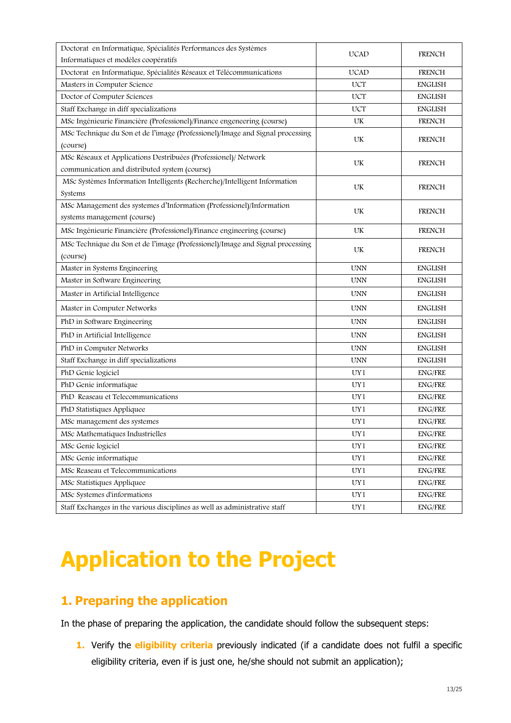| Doctorat en Informatique, Spécialités Performances des Systèmes               | <b>UCAD</b> | <b>FRENCH</b>         |
|-------------------------------------------------------------------------------|-------------|-----------------------|
| Informatiques et modèles coopératifs                                          |             |                       |
| Doctorat en Informatique, Spécialités Réseaux et Télécommunications           | <b>UCAD</b> | <b>FRENCH</b>         |
| Masters in Computer Science                                                   | <b>UCT</b>  | <b>ENGLISH</b>        |
| Doctor of Computer Sciences                                                   | <b>UCT</b>  | <b>ENGLISH</b>        |
| Staff Exchange in diff specializations                                        | <b>UCT</b>  | <b>ENGLISH</b>        |
| MSc Ingénieurie Financière (Professionel)/Finance engeneering (course)        | UK          | <b>FRENCH</b>         |
| MSc Technique du Son et de l'image (Professionel)/Image and Signal processing | UK          | FRENCH                |
| (course)                                                                      |             |                       |
| MSc Réseaux et Applications Destribuées (Professionel)/ Network               | UK          | <b>FRENCH</b>         |
| communication and distributed system (course)                                 |             |                       |
| MSc Systèmes Information Intelligents (Recherche)/Intelligent Information     | UK          | <b>FRENCH</b>         |
| Systems                                                                       |             |                       |
| MSc Management des systemes d'Information (Professionel)/Information          | UK          | FRENCH                |
| systems management (course)                                                   |             |                       |
| MSc Ingénieurie Financière (Professionel)/Finance engineering (course)        | UK          | <b>FRENCH</b>         |
| MSc Technique du Son et de l'image (Professionel)/Image and Signal processing | UK          | <b>FRENCH</b>         |
| (course)                                                                      |             |                       |
| Master in Systems Engineering                                                 | <b>UNN</b>  | <b>ENGLISH</b>        |
| Master in Software Engineering                                                | <b>UNN</b>  | <b>ENGLISH</b>        |
| Master in Artificial Intelligence                                             | <b>UNN</b>  | <b>ENGLISH</b>        |
| Master in Computer Networks                                                   | <b>UNN</b>  | <b>ENGLISH</b>        |
| PhD in Software Engineering                                                   | <b>UNN</b>  | <b>ENGLISH</b>        |
| PhD in Artificial Intelligence                                                | <b>UNN</b>  | <b>ENGLISH</b>        |
| PhD in Computer Networks                                                      | <b>UNN</b>  | <b>ENGLISH</b>        |
| Staff Exchange in diff specializations                                        | <b>UNN</b>  | <b>ENGLISH</b>        |
| PhD Genie logiciel                                                            | UY1         | <b>ENG/FRE</b>        |
| PhD Genie informatique                                                        | UY1         | <b>ENG/FRE</b>        |
| PhD Reaseau et Telecommunications                                             | UY1         | <b>ENG/FRE</b>        |
| PhD Statistiques Appliquee                                                    | UY1         | <b>ENG/FRE</b>        |
| MSc management des systemes                                                   | UY1         | <b>ENG/FRE</b>        |
| MSc Mathematiques Industrielles                                               | UY1         | <b>ENG/FRE</b>        |
| MSc Genie logiciel                                                            | UY1         | ${\rm ENG}/{\rm FRE}$ |
| MSc Genie informatique                                                        | UY1         | <b>ENG/FRE</b>        |
| MSc Reaseau et Telecommunications                                             | UY1         | <b>ENG/FRE</b>        |
| MSc Statistiques Appliquee                                                    | UY1         | <b>ENG/FRE</b>        |
| MSc Systemes d'informations                                                   | UY1         | <b>ENG/FRE</b>        |
| Staff Exchanges in the various disciplines as well as administrative staff    | UY1         | ${\rm ENG}/{\rm FRE}$ |

# <span id="page-12-0"></span>**Application to the Project**

# <span id="page-12-1"></span>**1. Preparing the application**

In the phase of preparing the application, the candidate should follow the subsequent steps:

**1.** Verify the **eligibility criteria** previously indicated (if a candidate does not fulfil a specific eligibility criteria, even if is just one, he/she should not submit an application);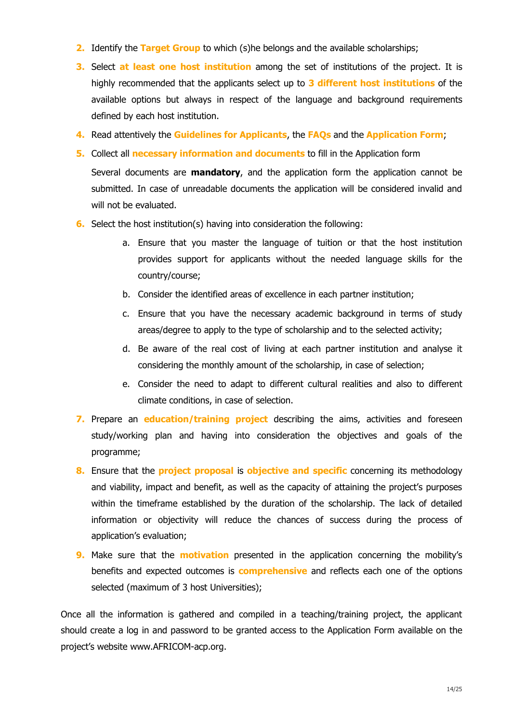- **2.** Identify the **Target Group** to which (s)he belongs and the available scholarships;
- **3.** Select **at least one host institution** among the set of institutions of the project. It is highly recommended that the applicants select up to **3 different host institutions** of the available options but always in respect of the language and background requirements defined by each host institution.
- **4.** Read attentively the **Guidelines for Applicants**, the **FAQs** and the **Application Form**;
- **5.** Collect all **necessary information and documents** to fill in the Application form

Several documents are **mandatory**, and the application form the application cannot be submitted. In case of unreadable documents the application will be considered invalid and will not be evaluated.

- **6.** Select the host institution(s) having into consideration the following:
	- a. Ensure that you master the language of tuition or that the host institution provides support for applicants without the needed language skills for the country/course;
	- b. Consider the identified areas of excellence in each partner institution;
	- c. Ensure that you have the necessary academic background in terms of study areas/degree to apply to the type of scholarship and to the selected activity;
	- d. Be aware of the real cost of living at each partner institution and analyse it considering the monthly amount of the scholarship, in case of selection;
	- e. Consider the need to adapt to different cultural realities and also to different climate conditions, in case of selection.
- **7.** Prepare an **education/training project** describing the aims, activities and foreseen study/working plan and having into consideration the objectives and goals of the programme;
- **8.** Ensure that the **project proposal** is **objective and specific** concerning its methodology and viability, impact and benefit, as well as the capacity of attaining the project's purposes within the timeframe established by the duration of the scholarship. The lack of detailed information or objectivity will reduce the chances of success during the process of application's evaluation;
- **9.** Make sure that the **motivation** presented in the application concerning the mobility's benefits and expected outcomes is **comprehensive** and reflects each one of the options selected (maximum of 3 host Universities);

Once all the information is gathered and compiled in a teaching/training project, the applicant should create a log in and password to be granted access to the Application Form available on the project's website www.AFRICOM-acp.org.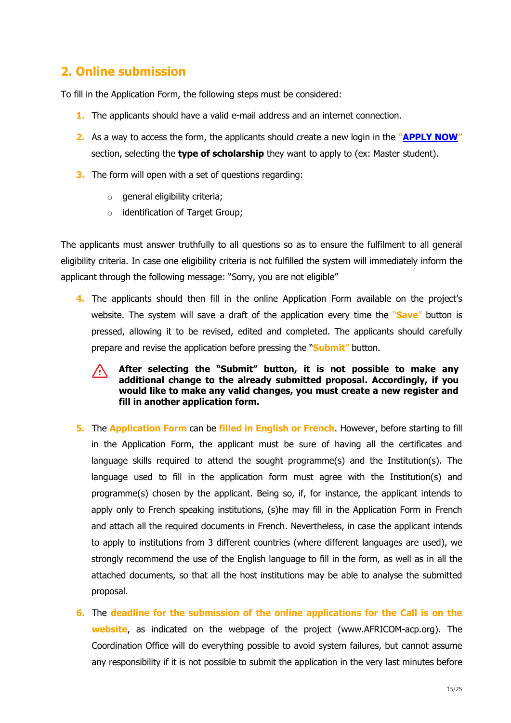# <span id="page-14-0"></span>**2. Online submission**

To fill in the Application Form, the following steps must be considered:

- **1.** The applicants should have a valid e-mail address and an internet connection.
- **2.** As a way to access the form, the applicants should create a new login in the **"[APPLY NOW](https://emecw.gis.lu.se/apply/?lot=AFRICOM)"** section, selecting the **type of scholarship** they want to apply to (ex: Master student).
- **3.** The form will open with a set of questions regarding:
	- $\circ$  general eligibility criteria;
	- o identification of Target Group;

The applicants must answer truthfully to all questions so as to ensure the fulfilment to all general eligibility criteria. In case one eligibility criteria is not fulfilled the system will immediately inform the applicant through the following message: "Sorry, you are not eligible"

**4.** The applicants should then fill in the online Application Form available on the project's website. The system will save a draft of the application every time the "**Save**" button is pressed, allowing it to be revised, edited and completed. The applicants should carefully prepare and revise the application before pressing the "**Submit**" button.

### **After selecting the "Submit" button, it is not possible to make any**   $\sqrt{N}$ **additional change to the already submitted proposal. Accordingly, if you would like to make any valid changes, you must create a new register and fill in another application form.**

- **5.** The **Application Form** can be **filled in English or French**. However, before starting to fill in the Application Form, the applicant must be sure of having all the certificates and language skills required to attend the sought programme(s) and the Institution(s). The language used to fill in the application form must agree with the Institution(s) and programme(s) chosen by the applicant. Being so, if, for instance, the applicant intends to apply only to French speaking institutions, (s)he may fill in the Application Form in French and attach all the required documents in French. Nevertheless, in case the applicant intends to apply to institutions from 3 different countries (where different languages are used), we strongly recommend the use of the English language to fill in the form, as well as in all the attached documents, so that all the host institutions may be able to analyse the submitted proposal.
- **6.** The **deadline for the submission of the online applications for the Call is on the website**, as indicated on the webpage of the project (www.AFRICOM-acp.org). The Coordination Office will do everything possible to avoid system failures, but cannot assume any responsibility if it is not possible to submit the application in the very last minutes before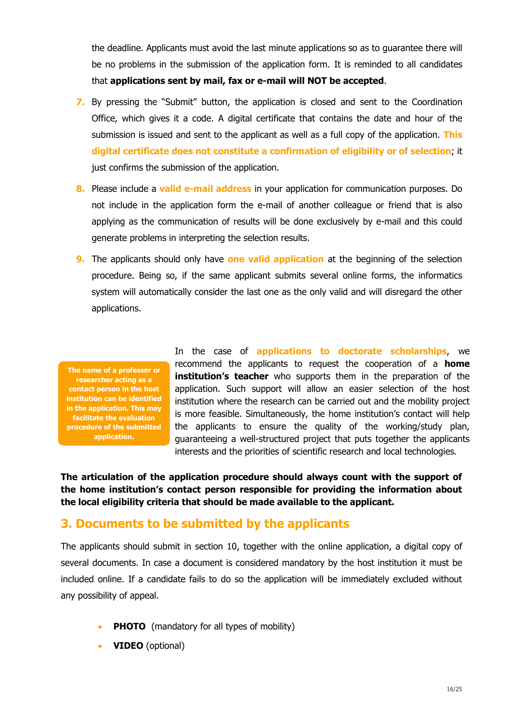the deadline. Applicants must avoid the last minute applications so as to guarantee there will be no problems in the submission of the application form. It is reminded to all candidates that **applications sent by mail, fax or e-mail will NOT be accepted**.

- **7.** By pressing the "Submit" button, the application is closed and sent to the Coordination Office, which gives it a code. A digital certificate that contains the date and hour of the submission is issued and sent to the applicant as well as a full copy of the application. **This digital certificate does not constitute a confirmation of eligibility or of selection**; it just confirms the submission of the application.
- **8.** Please include a **valid e-mail address** in your application for communication purposes. Do not include in the application form the e-mail of another colleague or friend that is also applying as the communication of results will be done exclusively by e-mail and this could generate problems in interpreting the selection results.
- **9.** The applicants should only have **one valid application** at the beginning of the selection procedure. Being so, if the same applicant submits several online forms, the informatics system will automatically consider the last one as the only valid and will disregard the other applications.

**The name of a professor or researcher acting as a contact person in the host institution can be identified in the application. This may facilitate the evaluation procedure of the submitted application.** 

In the case of **applications to doctorate scholarships**, we recommend the applicants to request the cooperation of a **home institution's teacher** who supports them in the preparation of the application. Such support will allow an easier selection of the host institution where the research can be carried out and the mobility project is more feasible. Simultaneously, the home institution's contact will help the applicants to ensure the quality of the working/study plan, guaranteeing a well-structured project that puts together the applicants interests and the priorities of scientific research and local technologies.

**The articulation of the application procedure should always count with the support of the home institution's contact person responsible for providing the information about the local eligibility criteria that should be made available to the applicant.**

# <span id="page-15-0"></span>**3. Documents to be submitted by the applicants**

The applicants should submit in section 10, together with the online application, a digital copy of several documents. In case a document is considered mandatory by the host institution it must be included online. If a candidate fails to do so the application will be immediately excluded without any possibility of appeal.

- **PHOTO** (mandatory for all types of mobility)
- **VIDEO** (optional)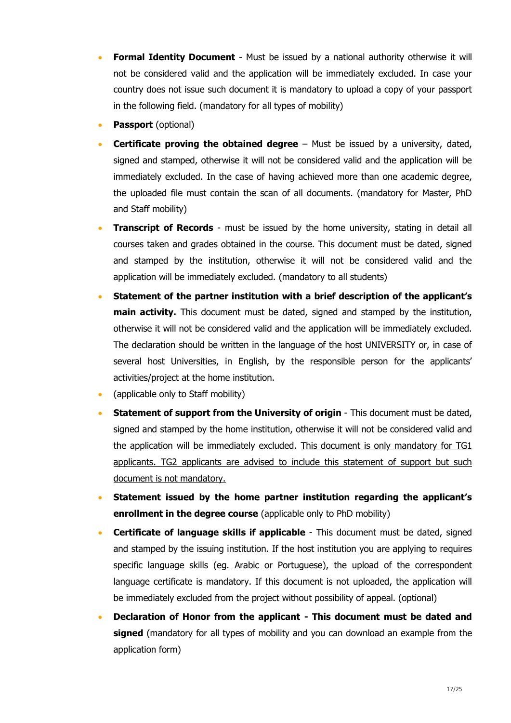- **Formal Identity Document** Must be issued by a national authority otherwise it will not be considered valid and the application will be immediately excluded. In case your country does not issue such document it is mandatory to upload a copy of your passport in the following field. (mandatory for all types of mobility)
- J. **Passport** (optional)
- **Certificate proving the obtained degree**  Must be issued by a university, dated, signed and stamped, otherwise it will not be considered valid and the application will be immediately excluded. In the case of having achieved more than one academic degree, the uploaded file must contain the scan of all documents. (mandatory for Master, PhD and Staff mobility)
- **Transcript of Records** must be issued by the home university, stating in detail all courses taken and grades obtained in the course. This document must be dated, signed and stamped by the institution, otherwise it will not be considered valid and the application will be immediately excluded. (mandatory to all students)
- **Statement of the partner institution with a brief description of the applicant's main activity.** This document must be dated, signed and stamped by the institution, otherwise it will not be considered valid and the application will be immediately excluded. The declaration should be written in the language of the host UNIVERSITY or, in case of several host Universities, in English, by the responsible person for the applicants' activities/project at the home institution.
- (applicable only to Staff mobility)
- **Statement of support from the University of origin** This document must be dated, signed and stamped by the home institution, otherwise it will not be considered valid and the application will be immediately excluded. This document is only mandatory for TG1 applicants. TG2 applicants are advised to include this statement of support but such document is not mandatory.
- **Statement issued by the home partner institution regarding the applicant's enrollment in the degree course** (applicable only to PhD mobility)
- **Certificate of language skills if applicable** This document must be dated, signed and stamped by the issuing institution. If the host institution you are applying to requires specific language skills (eg. Arabic or Portuguese), the upload of the correspondent language certificate is mandatory. If this document is not uploaded, the application will be immediately excluded from the project without possibility of appeal. (optional)
- **Declaration of Honor from the applicant - This document must be dated and signed** (mandatory for all types of mobility and you can [download an example](http://mundusacp2.up.pt/documents/?file=declaration_of_honour_acp&lang=EN) from the application form)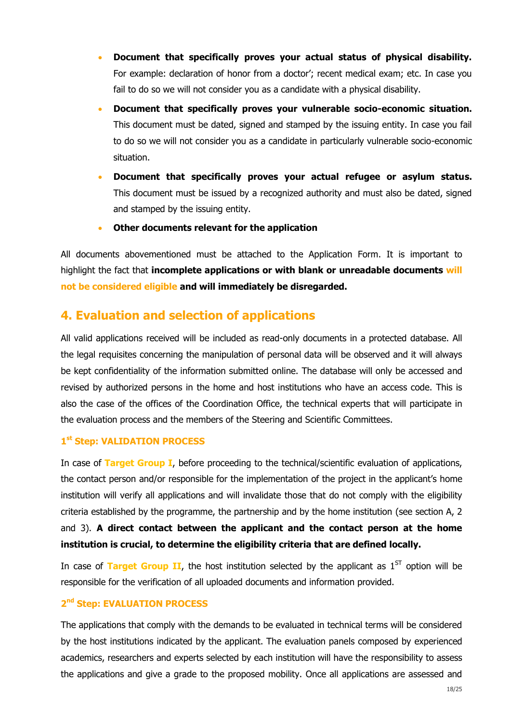- **Document that specifically proves your actual status of physical disability.** For example: declaration of honor from a doctor'; recent medical exam; etc. In case you fail to do so we will not consider you as a candidate with a physical disability.
- **Document that specifically proves your vulnerable socio-economic situation.** This document must be dated, signed and stamped by the issuing entity. In case you fail to do so we will not consider you as a candidate in particularly vulnerable socio-economic situation.
- **Document that specifically proves your actual refugee or asylum status.** This document must be issued by a recognized authority and must also be dated, signed and stamped by the issuing entity.
- $\bullet$ **Other documents relevant for the application**

All documents abovementioned must be attached to the Application Form. It is important to highlight the fact that **incomplete applications or with blank or unreadable documents will not be considered eligible and will immediately be disregarded.**

# **4. Evaluation and selection of applications**

All valid applications received will be included as read-only documents in a protected database. All the legal requisites concerning the manipulation of personal data will be observed and it will always be kept confidentiality of the information submitted online. The database will only be accessed and revised by authorized persons in the home and host institutions who have an access code. This is also the case of the offices of the Coordination Office, the technical experts that will participate in the evaluation process and the members of the Steering and Scientific Committees.

# **1 st Step: VALIDATION PROCESS**

In case of **Target Group I**, before proceeding to the technical/scientific evaluation of applications, the contact person and/or responsible for the implementation of the project in the applicant's home institution will verify all applications and will invalidate those that do not comply with the eligibility criteria established by the programme, the partnership and by the home institution (see section A, 2 and 3). **A direct contact between the applicant and the contact person at the home institution is crucial, to determine the eligibility criteria that are defined locally.**

In case of **Target Group II**, the host institution selected by the applicant as  $1<sup>ST</sup>$  option will be responsible for the verification of all uploaded documents and information provided.

# **2 nd Step: EVALUATION PROCESS**

The applications that comply with the demands to be evaluated in technical terms will be considered by the host institutions indicated by the applicant. The evaluation panels composed by experienced academics, researchers and experts selected by each institution will have the responsibility to assess the applications and give a grade to the proposed mobility. Once all applications are assessed and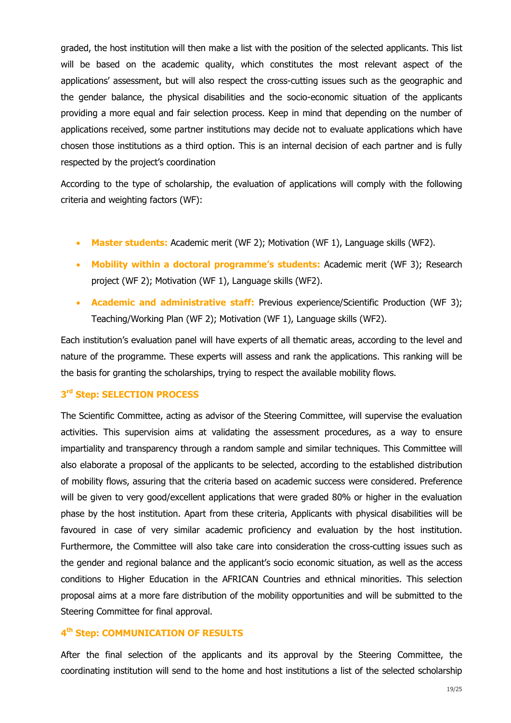graded, the host institution will then make a list with the position of the selected applicants. This list will be based on the academic quality, which constitutes the most relevant aspect of the applications' assessment, but will also respect the cross-cutting issues such as the geographic and the gender balance, the physical disabilities and the socio-economic situation of the applicants providing a more equal and fair selection process. Keep in mind that depending on the number of applications received, some partner institutions may decide not to evaluate applications which have chosen those institutions as a third option. This is an internal decision of each partner and is fully respected by the project's coordination

According to the type of scholarship, the evaluation of applications will comply with the following criteria and weighting factors (WF):

- **Master students:** Academic merit (WF 2); Motivation (WF 1), Language skills (WF2).
- **Mobility within a doctoral programme's students:** Academic merit (WF 3); Research project (WF 2); Motivation (WF 1), Language skills (WF2).
- **Academic and administrative staff:** Previous experience/Scientific Production (WF 3); Teaching/Working Plan (WF 2); Motivation (WF 1), Language skills (WF2).

Each institution's evaluation panel will have experts of all thematic areas, according to the level and nature of the programme. These experts will assess and rank the applications. This ranking will be the basis for granting the scholarships, trying to respect the available mobility flows.

### **3 rd Step: SELECTION PROCESS**

The Scientific Committee, acting as advisor of the Steering Committee, will supervise the evaluation activities. This supervision aims at validating the assessment procedures, as a way to ensure impartiality and transparency through a random sample and similar techniques. This Committee will also elaborate a proposal of the applicants to be selected, according to the established distribution of mobility flows, assuring that the criteria based on academic success were considered. Preference will be given to very good/excellent applications that were graded 80% or higher in the evaluation phase by the host institution. Apart from these criteria, Applicants with physical disabilities will be favoured in case of very similar academic proficiency and evaluation by the host institution. Furthermore, the Committee will also take care into consideration the cross-cutting issues such as the gender and regional balance and the applicant's socio economic situation, as well as the access conditions to Higher Education in the AFRICAN Countries and ethnical minorities. This selection proposal aims at a more fare distribution of the mobility opportunities and will be submitted to the Steering Committee for final approval.

# **4 th Step: COMMUNICATION OF RESULTS**

After the final selection of the applicants and its approval by the Steering Committee, the coordinating institution will send to the home and host institutions a list of the selected scholarship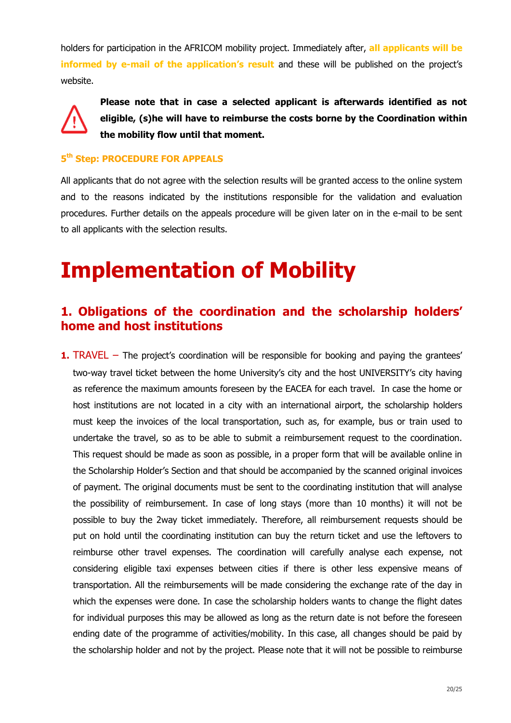holders for participation in the AFRICOM mobility project. Immediately after, **all applicants will be informed by e-mail of the application's result** and these will be published on the project's website.



**Please note that in case a selected applicant is afterwards identified as not eligible, (s)he will have to reimburse the costs borne by the Coordination within the mobility flow until that moment.**

# **5 th Step: PROCEDURE FOR APPEALS**

All applicants that do not agree with the selection results will be granted access to the online system and to the reasons indicated by the institutions responsible for the validation and evaluation procedures. Further details on the appeals procedure will be given later on in the e-mail to be sent to all applicants with the selection results.

# <span id="page-19-0"></span>**Implementation of Mobility**

# **1. Obligations of the coordination and the scholarship holders' home and host institutions**

**1.** TRAVEL – The project's coordination will be responsible for booking and paying the grantees' two-way travel ticket between the home University's city and the host UNIVERSITY's city having as reference the maximum amounts foreseen by the EACEA for each travel. In case the home or host institutions are not located in a city with an international airport, the scholarship holders must keep the invoices of the local transportation, such as, for example, bus or train used to undertake the travel, so as to be able to submit a reimbursement request to the coordination. This request should be made as soon as possible, in a proper form that will be available online in the Scholarship Holder's Section and that should be accompanied by the scanned original invoices of payment. The original documents must be sent to the coordinating institution that will analyse the possibility of reimbursement. In case of long stays (more than 10 months) it will not be possible to buy the 2way ticket immediately. Therefore, all reimbursement requests should be put on hold until the coordinating institution can buy the return ticket and use the leftovers to reimburse other travel expenses. The coordination will carefully analyse each expense, not considering eligible taxi expenses between cities if there is other less expensive means of transportation. All the reimbursements will be made considering the exchange rate of the day in which the expenses were done. In case the scholarship holders wants to change the flight dates for individual purposes this may be allowed as long as the return date is not before the foreseen ending date of the programme of activities/mobility. In this case, all changes should be paid by the scholarship holder and not by the project. Please note that it will not be possible to reimburse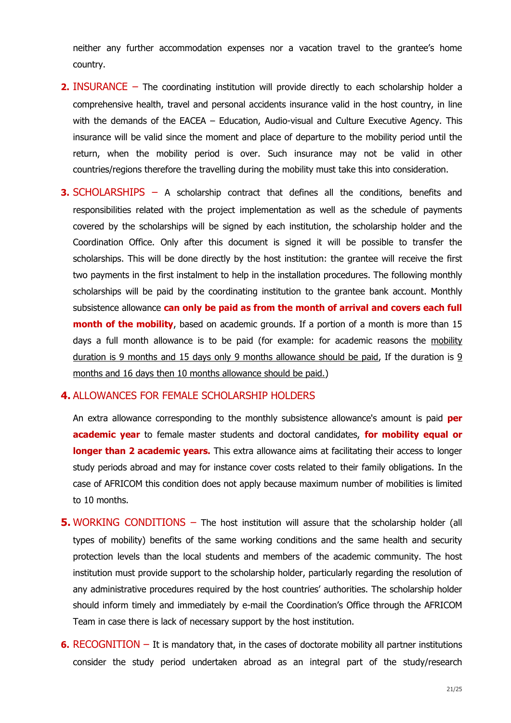neither any further accommodation expenses nor a vacation travel to the grantee's home country.

- **2.** INSURANCE The coordinating institution will provide directly to each scholarship holder a comprehensive health, travel and personal accidents insurance valid in the host country, in line with the demands of the EACEA – Education, Audio-visual and Culture Executive Agency. This insurance will be valid since the moment and place of departure to the mobility period until the return, when the mobility period is over. Such insurance may not be valid in other countries/regions therefore the travelling during the mobility must take this into consideration.
- **3.** SCHOLARSHIPS A scholarship contract that defines all the conditions, benefits and responsibilities related with the project implementation as well as the schedule of payments covered by the scholarships will be signed by each institution, the scholarship holder and the Coordination Office. Only after this document is signed it will be possible to transfer the scholarships. This will be done directly by the host institution: the grantee will receive the first two payments in the first instalment to help in the installation procedures. The following monthly scholarships will be paid by the coordinating institution to the grantee bank account. Monthly subsistence allowance **can only be paid as from the month of arrival and covers each full month of the mobility**, based on academic grounds. If a portion of a month is more than 15 days a full month allowance is to be paid (for example: for academic reasons the mobility duration is 9 months and 15 days only 9 months allowance should be paid, If the duration is 9 months and 16 days then 10 months allowance should be paid.)

### **4.** ALLOWANCES FOR FEMALE SCHOLARSHIP HOLDERS

An extra allowance corresponding to the monthly subsistence allowance's amount is paid **per academic year** to female master students and doctoral candidates, **for mobility equal or longer than 2 academic years.** This extra allowance aims at facilitating their access to longer study periods abroad and may for instance cover costs related to their family obligations. In the case of AFRICOM this condition does not apply because maximum number of mobilities is limited to 10 months.

- **5.** WORKING CONDITIONS The host institution will assure that the scholarship holder (all types of mobility) benefits of the same working conditions and the same health and security protection levels than the local students and members of the academic community. The host institution must provide support to the scholarship holder, particularly regarding the resolution of any administrative procedures required by the host countries' authorities. The scholarship holder should inform timely and immediately by e-mail the Coordination's Office through the AFRICOM Team in case there is lack of necessary support by the host institution.
- **6.** RECOGNITION It is mandatory that, in the cases of doctorate mobility all partner institutions consider the study period undertaken abroad as an integral part of the study/research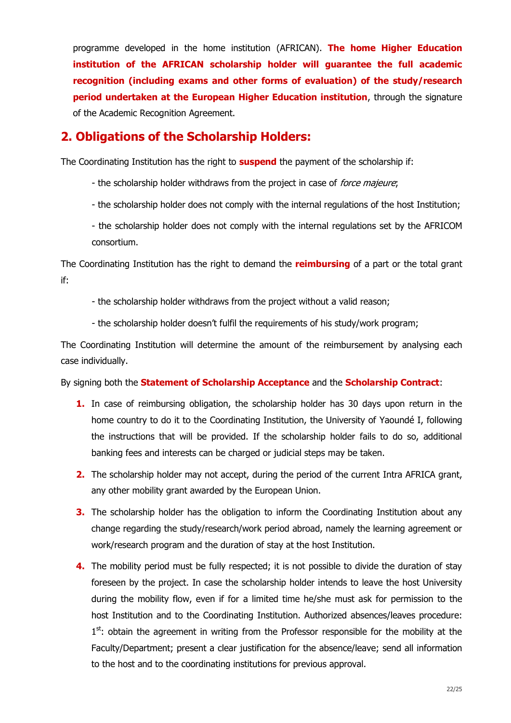programme developed in the home institution (AFRICAN). **The home Higher Education institution of the AFRICAN scholarship holder will guarantee the full academic recognition (including exams and other forms of evaluation) of the study/research period undertaken at the European Higher Education institution**, through the signature of the Academic Recognition Agreement.

# **2. Obligations of the Scholarship Holders:**

The Coordinating Institution has the right to **suspend** the payment of the scholarship if:

- the scholarship holder withdraws from the project in case of force majeure;
- the scholarship holder does not comply with the internal regulations of the host Institution;
- the scholarship holder does not comply with the internal regulations set by the AFRICOM consortium.

The Coordinating Institution has the right to demand the **reimbursing** of a part or the total grant if:

- the scholarship holder withdraws from the project without a valid reason;
- the scholarship holder doesn't fulfil the requirements of his study/work program;

The Coordinating Institution will determine the amount of the reimbursement by analysing each case individually.

By signing both the **Statement of Scholarship Acceptance** and the **Scholarship Contract**:

- **1.** In case of reimbursing obligation, the scholarship holder has 30 days upon return in the home country to do it to the Coordinating Institution, the University of Yaoundé I, following the instructions that will be provided. If the scholarship holder fails to do so, additional banking fees and interests can be charged or judicial steps may be taken.
- **2.** The scholarship holder may not accept, during the period of the current Intra AFRICA grant, any other mobility grant awarded by the European Union.
- **3.** The scholarship holder has the obligation to inform the Coordinating Institution about any change regarding the study/research/work period abroad, namely the learning agreement or work/research program and the duration of stay at the host Institution.
- **4.** The mobility period must be fully respected; it is not possible to divide the duration of stay foreseen by the project. In case the scholarship holder intends to leave the host University during the mobility flow, even if for a limited time he/she must ask for permission to the host Institution and to the Coordinating Institution. Authorized absences/leaves procedure: 1<sup>st</sup>: obtain the agreement in writing from the Professor responsible for the mobility at the Faculty/Department; present a clear justification for the absence/leave; send all information to the host and to the coordinating institutions for previous approval.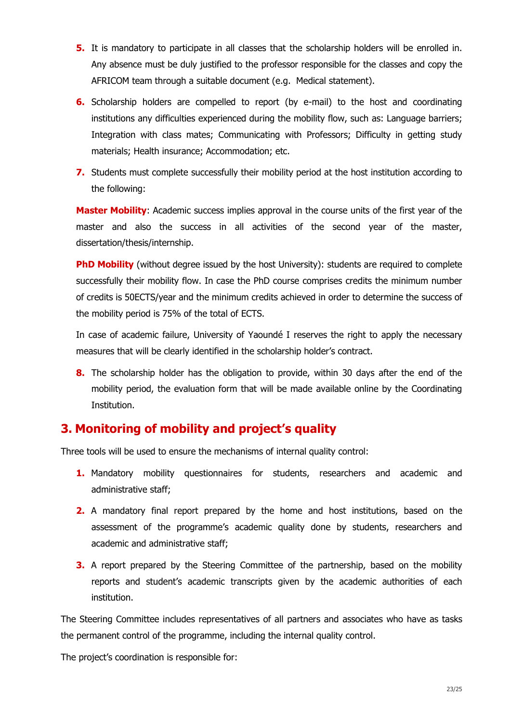- **5.** It is mandatory to participate in all classes that the scholarship holders will be enrolled in. Any absence must be duly justified to the professor responsible for the classes and copy the AFRICOM team through a suitable document (e.g. Medical statement).
- **6.** Scholarship holders are compelled to report (by e-mail) to the host and coordinating institutions any difficulties experienced during the mobility flow, such as: Language barriers; Integration with class mates; Communicating with Professors; Difficulty in getting study materials; Health insurance; Accommodation; etc.
- **7.** Students must complete successfully their mobility period at the host institution according to the following:

**Master Mobility**: Academic success implies approval in the course units of the first year of the master and also the success in all activities of the second year of the master, dissertation/thesis/internship.

**PhD Mobility** (without degree issued by the host University): students are required to complete successfully their mobility flow. In case the PhD course comprises credits the minimum number of credits is 50ECTS/year and the minimum credits achieved in order to determine the success of the mobility period is 75% of the total of ECTS.

In case of academic failure, University of Yaoundé I reserves the right to apply the necessary measures that will be clearly identified in the scholarship holder's contract.

**8.** The scholarship holder has the obligation to provide, within 30 days after the end of the mobility period, the evaluation form that will be made available online by the Coordinating Institution.

# <span id="page-22-0"></span>**3. Monitoring of mobility and project's quality**

Three tools will be used to ensure the mechanisms of internal quality control:

- **1.** Mandatory mobility questionnaires for students, researchers and academic and administrative staff;
- **2.** A mandatory final report prepared by the home and host institutions, based on the assessment of the programme's academic quality done by students, researchers and academic and administrative staff;
- **3.** A report prepared by the Steering Committee of the partnership, based on the mobility reports and student's academic transcripts given by the academic authorities of each institution.

The Steering Committee includes representatives of all partners and associates who have as tasks the permanent control of the programme, including the internal quality control.

The project's coordination is responsible for: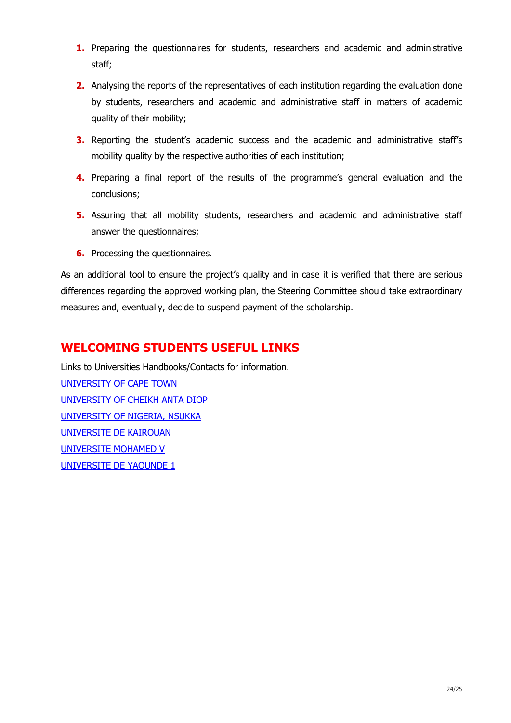- **1.** Preparing the questionnaires for students, researchers and academic and administrative staff;
- **2.** Analysing the reports of the representatives of each institution regarding the evaluation done by students, researchers and academic and administrative staff in matters of academic quality of their mobility;
- **3.** Reporting the student's academic success and the academic and administrative staff's mobility quality by the respective authorities of each institution;
- **4.** Preparing a final report of the results of the programme's general evaluation and the conclusions;
- **5.** Assuring that all mobility students, researchers and academic and administrative staff answer the questionnaires;
- **6.** Processing the questionnaires.

As an additional tool to ensure the project's quality and in case it is verified that there are serious differences regarding the approved working plan, the Steering Committee should take extraordinary measures and, eventually, decide to suspend payment of the scholarship.

# **WELCOMING STUDENTS USEFUL LINKS**

<span id="page-23-0"></span>Links to Universities Handbooks/Contacts for information. [UNIVERSITY OF CAPE TOWN](http://www.students.uct.ac.za/students/study/handbooks/current) [UNIVERSITY OF CHEIKH ANTA DIOP](https://www.ucad.sn/index.php?option=com_content&view=article&id=2465&Itemid=420) [UNIVERSITY OF NIGERIA, NSUKKA](http://www.unn.edu.ng/publications/files/images/UNNGenHB.Website.pdf) [UNIVERSITE DE KAIROUAN](http://www.univ-k.rnu.tn/fra/contact) [UNIVERSITE MOHAMED V](mailto:rachid.ouladhajthami@gmail.com) [UNIVERSITE DE YAOUNDE 1](mailto:louiskiru@yahoo.com)